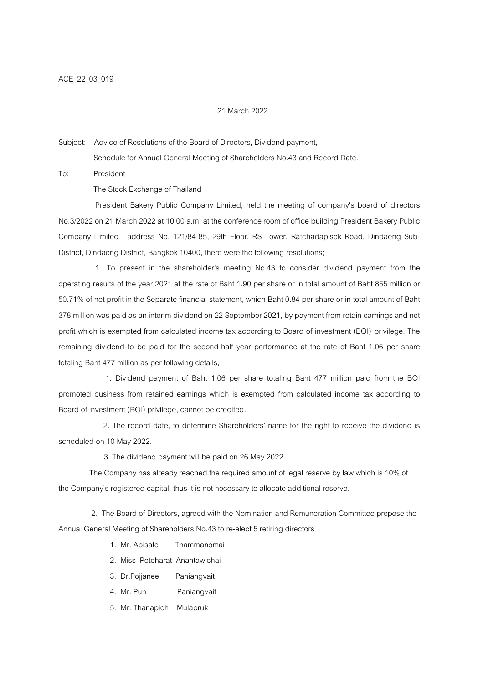## 21 March 2022

Subject: Advice of Resolutions of the Board of Directors, Dividend payment,

Schedule for Annual General Meeting of Shareholders No.43 and Record Date.

To: President

The Stock Exchange of Thailand

 President Bakery Public Company Limited, held the meeting of company's board of directors No.3/2022 on 21 March 2022 at 10.00 a.m. at the conference room of office building President Bakery Public Company Limited , address No. 121/84-85, 29th Floor, RS Tower, Ratchadapisek Road, Dindaeng Sub-District, Dindaeng District, Bangkok 10400, there were the following resolutions;

 1. To present in the shareholder's meeting No.43 to consider dividend payment from the operating results of the year 2021 at the rate of Baht 1.90 per share or in total amount of Baht 855 million or 50.71% of net profit in the Separate financial statement, which Baht 0.84 per share or in total amount of Baht 378 million was paid as an interim dividend on 22 September 2021, by payment from retain earnings and net profit which is exempted from calculated income tax according to Board of investment (BOI) privilege. The remaining dividend to be paid for the second-half year performance at the rate of Baht 1.06 per share totaling Baht 477 million as per following details,

 1. Dividend payment of Baht 1.06 per share totaling Baht 477 million paid from the BOI promoted business from retained earnings which is exempted from calculated income tax according to Board of investment (BOI) privilege, cannot be credited.

 2. The record date, to determine Shareholders? name for the right to receive the dividend is scheduled on 10 May 2022.

3. The dividend payment will be paid on 26 May 2022.

 The Company has already reached the required amount of legal reserve by law which is 10% of the Company?s registered capital, thus it is not necessary to allocate additional reserve.

 2. The Board of Directors, agreed with the Nomination and Remuneration Committee propose the Annual General Meeting of Shareholders No.43 to re-elect 5 retiring directors

- 1. Mr. Apisate Thammanomai
- 2. Miss Petcharat Anantawichai
- 3. Dr.Pojjanee Paniangvait
- 4. Mr. Pun Paniangvait
- 5. Mr. Thanapich Mulapruk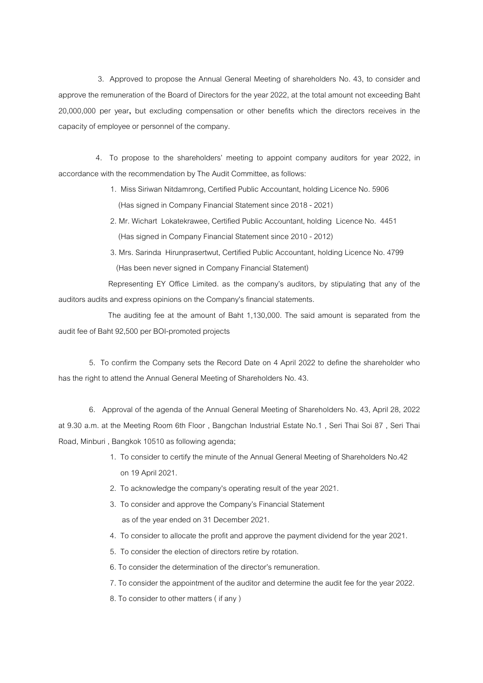3. Approved to propose the Annual General Meeting of shareholders No. 43, to consider and approve the remuneration of the Board of Directors for the year 2022, at the total amount not exceeding Baht 20,000,000 per year, but excluding compensation or other benefits which the directors receives in the capacity of employee or personnel of the company.

 4. To propose to the shareholders? meeting to appoint company auditors for year 2022, in accordance with the recommendation by The Audit Committee, as follows:

> 1. Miss Siriwan Nitdamrong, Certified Public Accountant, holding Licence No. 5906 (Has signed in Company Financial Statement since 2018 - 2021)

- 2. Mr. Wichart Lokatekrawee, Certified Public Accountant, holding Licence No. 4451 (Has signed in Company Financial Statement since 2010 - 2012)
- 3. Mrs. Sarinda Hirunprasertwut, Certified Public Accountant, holding Licence No. 4799 (Has been never signed in Company Financial Statement)

 Representing EY Office Limited. as the company?s auditors, by stipulating that any of the auditors audits and express opinions on the Company's financial statements.

 The auditing fee at the amount of Baht 1,130,000. The said amount is separated from the audit fee of Baht 92,500 per BOI-promoted projects

 5. To confirm the Company sets the Record Date on 4 April 2022 to define the shareholder who has the right to attend the Annual General Meeting of Shareholders No. 43.

 6. Approval of the agenda of the Annual General Meeting of Shareholders No. 43, April 28, 2022 at 9.30 a.m. at the Meeting Room 6th Floor , Bangchan Industrial Estate No.1 , Seri Thai Soi 87 , Seri Thai Road, Minburi , Bangkok 10510 as following agenda;

- 1. To consider to certify the minute of the Annual General Meeting of Shareholders No.42 on 19 April 2021.
- 2. To acknowledge the company's operating result of the year 2021.
- 3. To consider and approve the Company?s Financial Statement as of the year ended on 31 December 2021.
- 4. To consider to allocate the profit and approve the payment dividend for the year 2021.
- 5. To consider the election of directors retire by rotation.
- 6. To consider the determination of the director?s remuneration.
- 7. To consider the appointment of the auditor and determine the audit fee for the year 2022.
- 8. To consider to other matters ( if any )